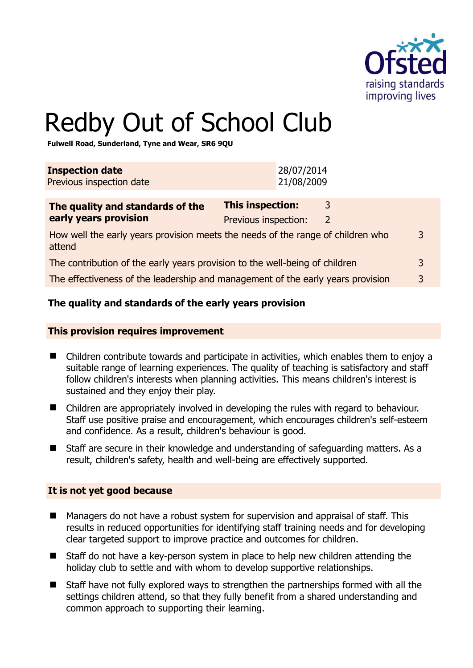

# Redby Out of School Club

**Fulwell Road, Sunderland, Tyne and Wear, SR6 9QU** 

| <b>Inspection date</b><br>Previous inspection date                                        |                                                 | 28/07/2014<br>21/08/2009 |        |  |
|-------------------------------------------------------------------------------------------|-------------------------------------------------|--------------------------|--------|--|
| The quality and standards of the<br>early years provision                                 | <b>This inspection:</b><br>Previous inspection: |                          | 3<br>2 |  |
| How well the early years provision meets the needs of the range of children who<br>attend |                                                 |                          |        |  |
| The contribution of the early years provision to the well-being of children               |                                                 |                          |        |  |
| The effectiveness of the leadership and management of the early years provision           |                                                 |                          |        |  |
|                                                                                           |                                                 |                          |        |  |

#### **The quality and standards of the early years provision**

#### **This provision requires improvement**

- Children contribute towards and participate in activities, which enables them to enjoy a suitable range of learning experiences. The quality of teaching is satisfactory and staff follow children's interests when planning activities. This means children's interest is sustained and they enjoy their play.
- Children are appropriately involved in developing the rules with regard to behaviour. Staff use positive praise and encouragement, which encourages children's self-esteem and confidence. As a result, children's behaviour is good.
- Staff are secure in their knowledge and understanding of safeguarding matters. As a result, children's safety, health and well-being are effectively supported.

#### **It is not yet good because**

- Managers do not have a robust system for supervision and appraisal of staff. This results in reduced opportunities for identifying staff training needs and for developing clear targeted support to improve practice and outcomes for children.
- Staff do not have a key-person system in place to help new children attending the holiday club to settle and with whom to develop supportive relationships.
- Staff have not fully explored ways to strengthen the partnerships formed with all the settings children attend, so that they fully benefit from a shared understanding and common approach to supporting their learning.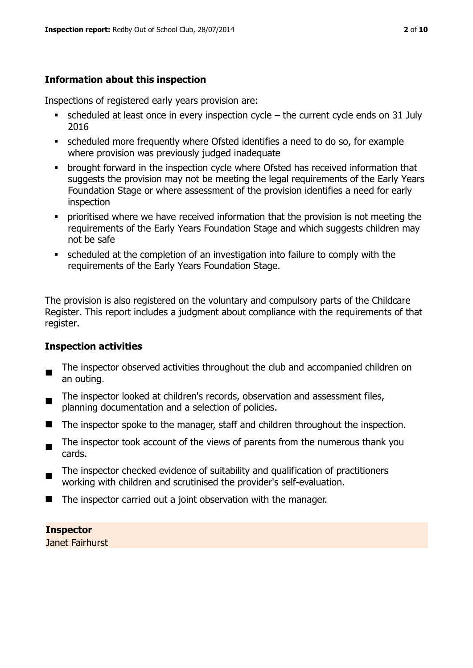# **Information about this inspection**

Inspections of registered early years provision are:

- $\blacksquare$  scheduled at least once in every inspection cycle the current cycle ends on 31 July 2016
- scheduled more frequently where Ofsted identifies a need to do so, for example where provision was previously judged inadequate
- **•** brought forward in the inspection cycle where Ofsted has received information that suggests the provision may not be meeting the legal requirements of the Early Years Foundation Stage or where assessment of the provision identifies a need for early inspection
- **•** prioritised where we have received information that the provision is not meeting the requirements of the Early Years Foundation Stage and which suggests children may not be safe
- scheduled at the completion of an investigation into failure to comply with the requirements of the Early Years Foundation Stage.

The provision is also registered on the voluntary and compulsory parts of the Childcare Register. This report includes a judgment about compliance with the requirements of that register.

# **Inspection activities**

- $\blacksquare$ The inspector observed activities throughout the club and accompanied children on an outing.
- The inspector looked at children's records, observation and assessment files, planning documentation and a selection of policies.
- The inspector spoke to the manager, staff and children throughout the inspection.
- $\blacksquare$ The inspector took account of the views of parents from the numerous thank you cards.
- The inspector checked evidence of suitability and qualification of practitioners working with children and scrutinised the provider's self-evaluation.
- The inspector carried out a joint observation with the manager.

# **Inspector**

Janet Fairhurst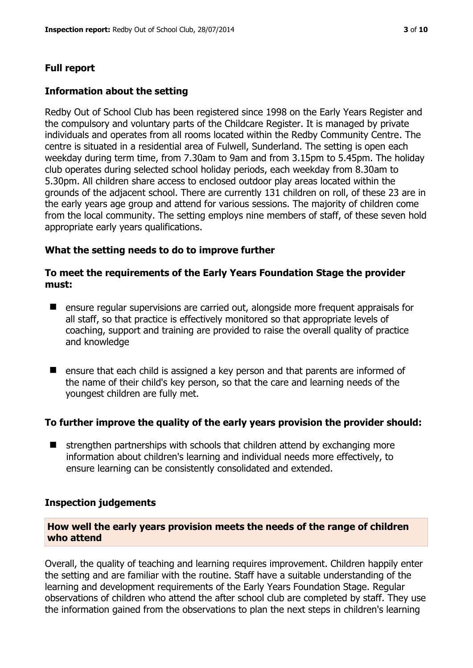# **Full report**

#### **Information about the setting**

Redby Out of School Club has been registered since 1998 on the Early Years Register and the compulsory and voluntary parts of the Childcare Register. It is managed by private individuals and operates from all rooms located within the Redby Community Centre. The centre is situated in a residential area of Fulwell, Sunderland. The setting is open each weekday during term time, from 7.30am to 9am and from 3.15pm to 5.45pm. The holiday club operates during selected school holiday periods, each weekday from 8.30am to 5.30pm. All children share access to enclosed outdoor play areas located within the grounds of the adjacent school. There are currently 131 children on roll, of these 23 are in the early years age group and attend for various sessions. The majority of children come from the local community. The setting employs nine members of staff, of these seven hold appropriate early years qualifications.

#### **What the setting needs to do to improve further**

#### **To meet the requirements of the Early Years Foundation Stage the provider must:**

- ensure regular supervisions are carried out, alongside more frequent appraisals for all staff, so that practice is effectively monitored so that appropriate levels of coaching, support and training are provided to raise the overall quality of practice and knowledge
- ensure that each child is assigned a key person and that parents are informed of the name of their child's key person, so that the care and learning needs of the youngest children are fully met.

# **To further improve the quality of the early years provision the provider should:**

 $\blacksquare$  strengthen partnerships with schools that children attend by exchanging more information about children's learning and individual needs more effectively, to ensure learning can be consistently consolidated and extended.

#### **Inspection judgements**

#### **How well the early years provision meets the needs of the range of children who attend**

Overall, the quality of teaching and learning requires improvement. Children happily enter the setting and are familiar with the routine. Staff have a suitable understanding of the learning and development requirements of the Early Years Foundation Stage. Regular observations of children who attend the after school club are completed by staff. They use the information gained from the observations to plan the next steps in children's learning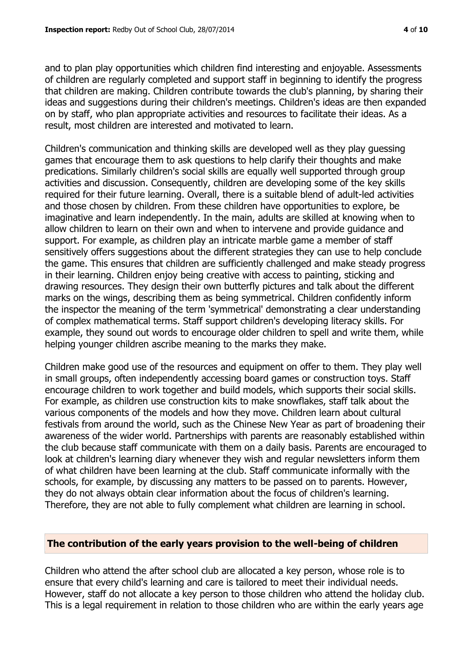and to plan play opportunities which children find interesting and enjoyable. Assessments of children are regularly completed and support staff in beginning to identify the progress that children are making. Children contribute towards the club's planning, by sharing their ideas and suggestions during their children's meetings. Children's ideas are then expanded on by staff, who plan appropriate activities and resources to facilitate their ideas. As a result, most children are interested and motivated to learn.

Children's communication and thinking skills are developed well as they play guessing games that encourage them to ask questions to help clarify their thoughts and make predications. Similarly children's social skills are equally well supported through group activities and discussion. Consequently, children are developing some of the key skills required for their future learning. Overall, there is a suitable blend of adult-led activities and those chosen by children. From these children have opportunities to explore, be imaginative and learn independently. In the main, adults are skilled at knowing when to allow children to learn on their own and when to intervene and provide guidance and support. For example, as children play an intricate marble game a member of staff sensitively offers suggestions about the different strategies they can use to help conclude the game. This ensures that children are sufficiently challenged and make steady progress in their learning. Children enjoy being creative with access to painting, sticking and drawing resources. They design their own butterfly pictures and talk about the different marks on the wings, describing them as being symmetrical. Children confidently inform the inspector the meaning of the term 'symmetrical' demonstrating a clear understanding of complex mathematical terms. Staff support children's developing literacy skills. For example, they sound out words to encourage older children to spell and write them, while helping younger children ascribe meaning to the marks they make.

Children make good use of the resources and equipment on offer to them. They play well in small groups, often independently accessing board games or construction toys. Staff encourage children to work together and build models, which supports their social skills. For example, as children use construction kits to make snowflakes, staff talk about the various components of the models and how they move. Children learn about cultural festivals from around the world, such as the Chinese New Year as part of broadening their awareness of the wider world. Partnerships with parents are reasonably established within the club because staff communicate with them on a daily basis. Parents are encouraged to look at children's learning diary whenever they wish and regular newsletters inform them of what children have been learning at the club. Staff communicate informally with the schools, for example, by discussing any matters to be passed on to parents. However, they do not always obtain clear information about the focus of children's learning. Therefore, they are not able to fully complement what children are learning in school.

#### **The contribution of the early years provision to the well-being of children**

Children who attend the after school club are allocated a key person, whose role is to ensure that every child's learning and care is tailored to meet their individual needs. However, staff do not allocate a key person to those children who attend the holiday club. This is a legal requirement in relation to those children who are within the early years age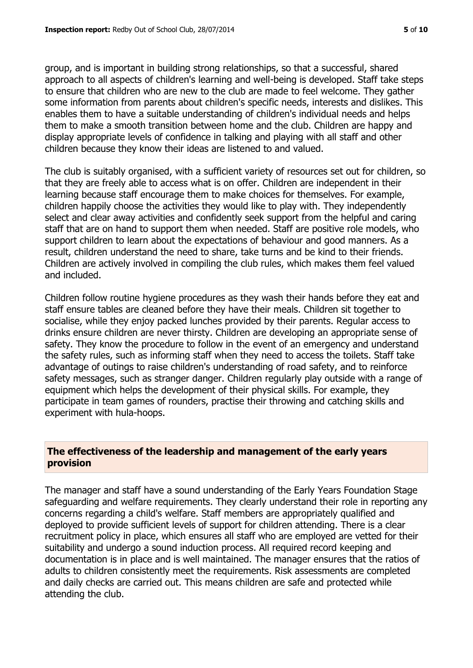group, and is important in building strong relationships, so that a successful, shared approach to all aspects of children's learning and well-being is developed. Staff take steps to ensure that children who are new to the club are made to feel welcome. They gather some information from parents about children's specific needs, interests and dislikes. This enables them to have a suitable understanding of children's individual needs and helps them to make a smooth transition between home and the club. Children are happy and display appropriate levels of confidence in talking and playing with all staff and other children because they know their ideas are listened to and valued.

The club is suitably organised, with a sufficient variety of resources set out for children, so that they are freely able to access what is on offer. Children are independent in their learning because staff encourage them to make choices for themselves. For example, children happily choose the activities they would like to play with. They independently select and clear away activities and confidently seek support from the helpful and caring staff that are on hand to support them when needed. Staff are positive role models, who support children to learn about the expectations of behaviour and good manners. As a result, children understand the need to share, take turns and be kind to their friends. Children are actively involved in compiling the club rules, which makes them feel valued and included.

Children follow routine hygiene procedures as they wash their hands before they eat and staff ensure tables are cleaned before they have their meals. Children sit together to socialise, while they enjoy packed lunches provided by their parents. Regular access to drinks ensure children are never thirsty. Children are developing an appropriate sense of safety. They know the procedure to follow in the event of an emergency and understand the safety rules, such as informing staff when they need to access the toilets. Staff take advantage of outings to raise children's understanding of road safety, and to reinforce safety messages, such as stranger danger. Children regularly play outside with a range of equipment which helps the development of their physical skills. For example, they participate in team games of rounders, practise their throwing and catching skills and experiment with hula-hoops.

#### **The effectiveness of the leadership and management of the early years provision**

The manager and staff have a sound understanding of the Early Years Foundation Stage safeguarding and welfare requirements. They clearly understand their role in reporting any concerns regarding a child's welfare. Staff members are appropriately qualified and deployed to provide sufficient levels of support for children attending. There is a clear recruitment policy in place, which ensures all staff who are employed are vetted for their suitability and undergo a sound induction process. All required record keeping and documentation is in place and is well maintained. The manager ensures that the ratios of adults to children consistently meet the requirements. Risk assessments are completed and daily checks are carried out. This means children are safe and protected while attending the club.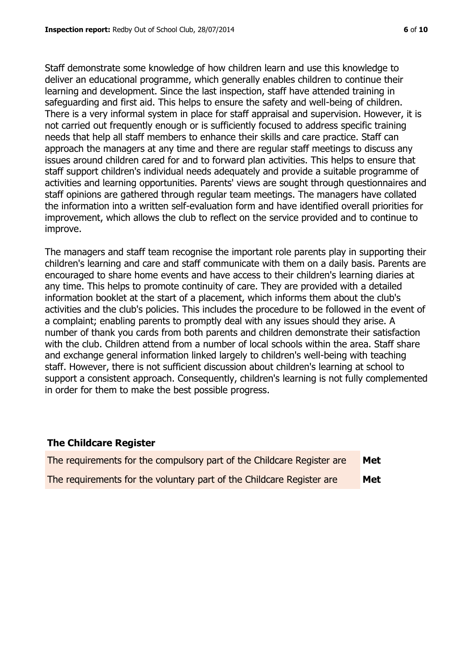Staff demonstrate some knowledge of how children learn and use this knowledge to deliver an educational programme, which generally enables children to continue their learning and development. Since the last inspection, staff have attended training in safeguarding and first aid. This helps to ensure the safety and well-being of children. There is a very informal system in place for staff appraisal and supervision. However, it is not carried out frequently enough or is sufficiently focused to address specific training needs that help all staff members to enhance their skills and care practice. Staff can approach the managers at any time and there are regular staff meetings to discuss any issues around children cared for and to forward plan activities. This helps to ensure that staff support children's individual needs adequately and provide a suitable programme of activities and learning opportunities. Parents' views are sought through questionnaires and staff opinions are gathered through regular team meetings. The managers have collated the information into a written self-evaluation form and have identified overall priorities for improvement, which allows the club to reflect on the service provided and to continue to improve.

The managers and staff team recognise the important role parents play in supporting their children's learning and care and staff communicate with them on a daily basis. Parents are encouraged to share home events and have access to their children's learning diaries at any time. This helps to promote continuity of care. They are provided with a detailed information booklet at the start of a placement, which informs them about the club's activities and the club's policies. This includes the procedure to be followed in the event of a complaint; enabling parents to promptly deal with any issues should they arise. A number of thank you cards from both parents and children demonstrate their satisfaction with the club. Children attend from a number of local schools within the area. Staff share and exchange general information linked largely to children's well-being with teaching staff. However, there is not sufficient discussion about children's learning at school to support a consistent approach. Consequently, children's learning is not fully complemented in order for them to make the best possible progress.

#### **The Childcare Register**

| The requirements for the compulsory part of the Childcare Register are | Met |
|------------------------------------------------------------------------|-----|
| The requirements for the voluntary part of the Childcare Register are  | Met |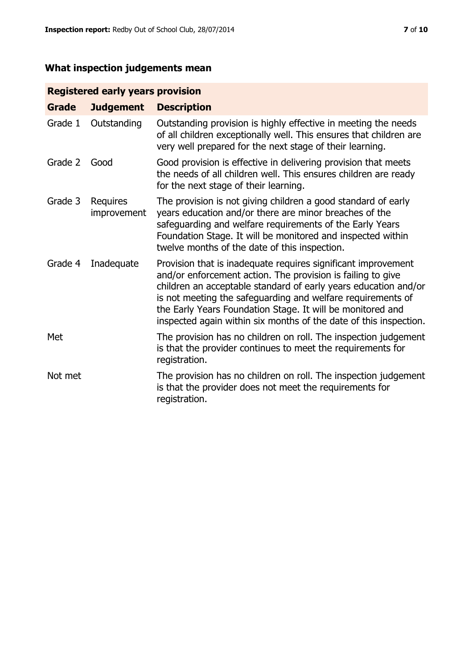# **What inspection judgements mean**

# **Registered early years provision**

| <b>Grade</b> | <b>Judgement</b>        | <b>Description</b>                                                                                                                                                                                                                                                                                                                                                                                |
|--------------|-------------------------|---------------------------------------------------------------------------------------------------------------------------------------------------------------------------------------------------------------------------------------------------------------------------------------------------------------------------------------------------------------------------------------------------|
| Grade 1      | Outstanding             | Outstanding provision is highly effective in meeting the needs<br>of all children exceptionally well. This ensures that children are<br>very well prepared for the next stage of their learning.                                                                                                                                                                                                  |
| Grade 2      | Good                    | Good provision is effective in delivering provision that meets<br>the needs of all children well. This ensures children are ready<br>for the next stage of their learning.                                                                                                                                                                                                                        |
| Grade 3      | Requires<br>improvement | The provision is not giving children a good standard of early<br>years education and/or there are minor breaches of the<br>safeguarding and welfare requirements of the Early Years<br>Foundation Stage. It will be monitored and inspected within<br>twelve months of the date of this inspection.                                                                                               |
| Grade 4      | Inadequate              | Provision that is inadequate requires significant improvement<br>and/or enforcement action. The provision is failing to give<br>children an acceptable standard of early years education and/or<br>is not meeting the safeguarding and welfare requirements of<br>the Early Years Foundation Stage. It will be monitored and<br>inspected again within six months of the date of this inspection. |
| Met          |                         | The provision has no children on roll. The inspection judgement<br>is that the provider continues to meet the requirements for<br>registration.                                                                                                                                                                                                                                                   |
| Not met      |                         | The provision has no children on roll. The inspection judgement<br>is that the provider does not meet the requirements for<br>registration.                                                                                                                                                                                                                                                       |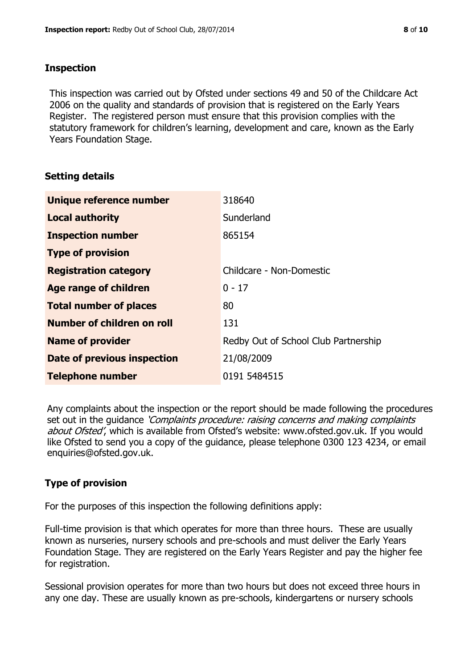#### **Inspection**

This inspection was carried out by Ofsted under sections 49 and 50 of the Childcare Act 2006 on the quality and standards of provision that is registered on the Early Years Register. The registered person must ensure that this provision complies with the statutory framework for children's learning, development and care, known as the Early Years Foundation Stage.

# **Setting details**

| Unique reference number       | 318640                               |
|-------------------------------|--------------------------------------|
| <b>Local authority</b>        | Sunderland                           |
| <b>Inspection number</b>      | 865154                               |
| <b>Type of provision</b>      |                                      |
| <b>Registration category</b>  | Childcare - Non-Domestic             |
| Age range of children         | $0 - 17$                             |
| <b>Total number of places</b> | 80                                   |
| Number of children on roll    | 131                                  |
| <b>Name of provider</b>       | Redby Out of School Club Partnership |
| Date of previous inspection   | 21/08/2009                           |
| <b>Telephone number</b>       | 0191 5484515                         |

Any complaints about the inspection or the report should be made following the procedures set out in the guidance *'Complaints procedure: raising concerns and making complaints* about Ofsted', which is available from Ofsted's website: www.ofsted.gov.uk. If you would like Ofsted to send you a copy of the guidance, please telephone 0300 123 4234, or email enquiries@ofsted.gov.uk.

# **Type of provision**

For the purposes of this inspection the following definitions apply:

Full-time provision is that which operates for more than three hours. These are usually known as nurseries, nursery schools and pre-schools and must deliver the Early Years Foundation Stage. They are registered on the Early Years Register and pay the higher fee for registration.

Sessional provision operates for more than two hours but does not exceed three hours in any one day. These are usually known as pre-schools, kindergartens or nursery schools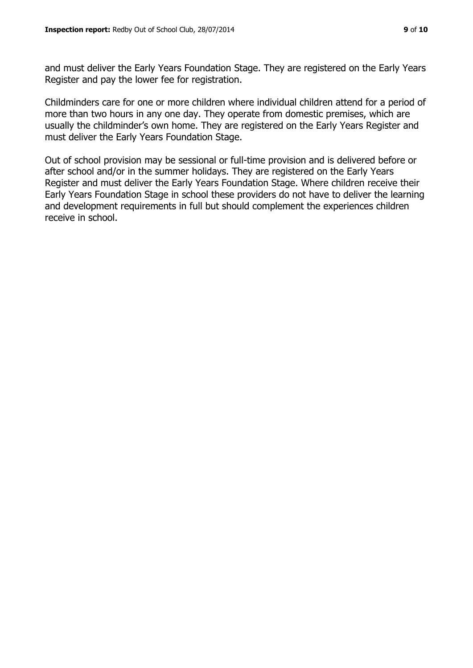Register and pay the lower fee for registration.

and must deliver the Early Years Foundation Stage. They are registered on the Early Years

Childminders care for one or more children where individual children attend for a period of more than two hours in any one day. They operate from domestic premises, which are usually the childminder's own home. They are registered on the Early Years Register and must deliver the Early Years Foundation Stage.

Out of school provision may be sessional or full-time provision and is delivered before or after school and/or in the summer holidays. They are registered on the Early Years Register and must deliver the Early Years Foundation Stage. Where children receive their Early Years Foundation Stage in school these providers do not have to deliver the learning and development requirements in full but should complement the experiences children receive in school.